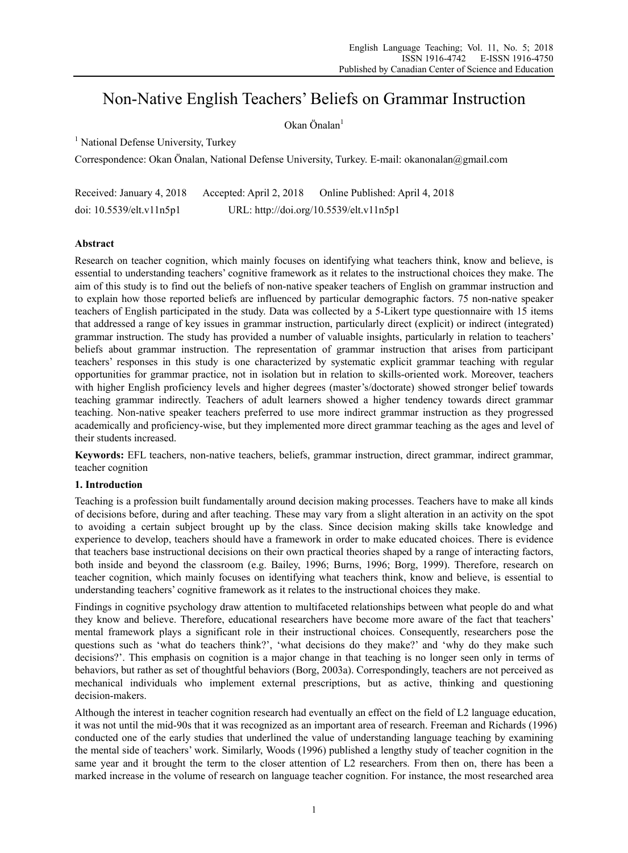# Non-Native English Teachers' Beliefs on Grammar Instruction

Okan Önalan $<sup>1</sup>$ </sup>

<sup>1</sup> National Defense University, Turkey

Correspondence: Okan Önalan, National Defense University, Turkey. E-mail: okanonalan@gmail.com

Received: January 4, 2018 Accepted: April 2, 2018 Online Published: April 4, 2018 doi: 10.5539/elt.v11n5p1 URL: http://doi.org/10.5539/elt.v11n5p1

# **Abstract**

Research on teacher cognition, which mainly focuses on identifying what teachers think, know and believe, is essential to understanding teachers' cognitive framework as it relates to the instructional choices they make. The aim of this study is to find out the beliefs of non-native speaker teachers of English on grammar instruction and to explain how those reported beliefs are influenced by particular demographic factors. 75 non-native speaker teachers of English participated in the study. Data was collected by a 5-Likert type questionnaire with 15 items that addressed a range of key issues in grammar instruction, particularly direct (explicit) or indirect (integrated) grammar instruction. The study has provided a number of valuable insights, particularly in relation to teachers' beliefs about grammar instruction. The representation of grammar instruction that arises from participant teachers' responses in this study is one characterized by systematic explicit grammar teaching with regular opportunities for grammar practice, not in isolation but in relation to skills-oriented work. Moreover, teachers with higher English proficiency levels and higher degrees (master's/doctorate) showed stronger belief towards teaching grammar indirectly. Teachers of adult learners showed a higher tendency towards direct grammar teaching. Non-native speaker teachers preferred to use more indirect grammar instruction as they progressed academically and proficiency-wise, but they implemented more direct grammar teaching as the ages and level of their students increased.

**Keywords:** EFL teachers, non-native teachers, beliefs, grammar instruction, direct grammar, indirect grammar, teacher cognition

# **1. Introduction**

Teaching is a profession built fundamentally around decision making processes. Teachers have to make all kinds of decisions before, during and after teaching. These may vary from a slight alteration in an activity on the spot to avoiding a certain subject brought up by the class. Since decision making skills take knowledge and experience to develop, teachers should have a framework in order to make educated choices. There is evidence that teachers base instructional decisions on their own practical theories shaped by a range of interacting factors, both inside and beyond the classroom (e.g. Bailey, 1996; Burns, 1996; Borg, 1999). Therefore, research on teacher cognition, which mainly focuses on identifying what teachers think, know and believe, is essential to understanding teachers' cognitive framework as it relates to the instructional choices they make.

Findings in cognitive psychology draw attention to multifaceted relationships between what people do and what they know and believe. Therefore, educational researchers have become more aware of the fact that teachers' mental framework plays a significant role in their instructional choices. Consequently, researchers pose the questions such as 'what do teachers think?', 'what decisions do they make?' and 'why do they make such decisions?'. This emphasis on cognition is a major change in that teaching is no longer seen only in terms of behaviors, but rather as set of thoughtful behaviors (Borg, 2003a). Correspondingly, teachers are not perceived as mechanical individuals who implement external prescriptions, but as active, thinking and questioning decision-makers.

Although the interest in teacher cognition research had eventually an effect on the field of L2 language education, it was not until the mid-90s that it was recognized as an important area of research. Freeman and Richards (1996) conducted one of the early studies that underlined the value of understanding language teaching by examining the mental side of teachers' work. Similarly, Woods (1996) published a lengthy study of teacher cognition in the same year and it brought the term to the closer attention of L2 researchers. From then on, there has been a marked increase in the volume of research on language teacher cognition. For instance, the most researched area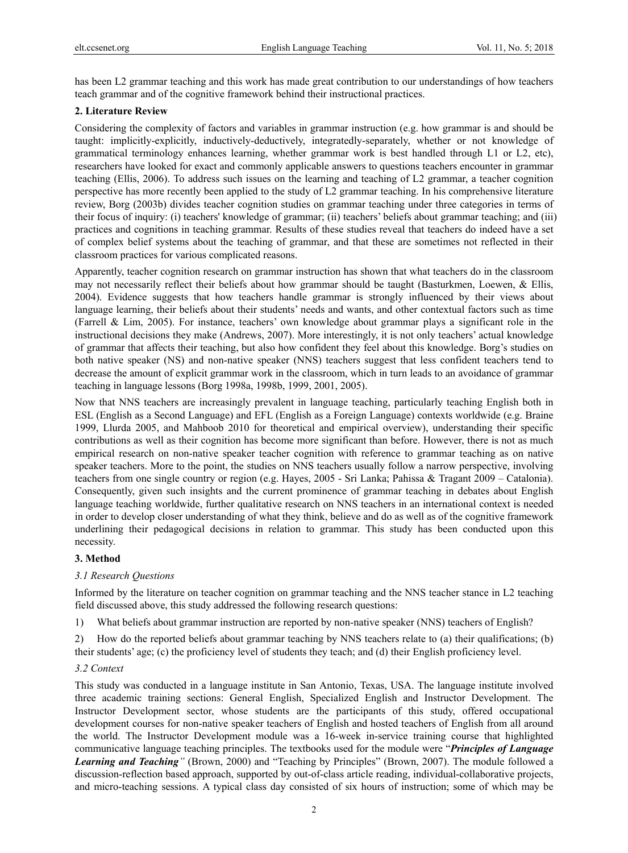has been L2 grammar teaching and this work has made great contribution to our understandings of how teachers teach grammar and of the cognitive framework behind their instructional practices.

# **2. Literature Review**

Considering the complexity of factors and variables in grammar instruction (e.g. how grammar is and should be taught: implicitly-explicitly, inductively-deductively, integratedly-separately, whether or not knowledge of grammatical terminology enhances learning, whether grammar work is best handled through L1 or L2, etc), researchers have looked for exact and commonly applicable answers to questions teachers encounter in grammar teaching (Ellis, 2006). To address such issues on the learning and teaching of L2 grammar, a teacher cognition perspective has more recently been applied to the study of L2 grammar teaching. In his comprehensive literature review, Borg (2003b) divides teacher cognition studies on grammar teaching under three categories in terms of their focus of inquiry: (i) teachers' knowledge of grammar; (ii) teachers' beliefs about grammar teaching; and (iii) practices and cognitions in teaching grammar. Results of these studies reveal that teachers do indeed have a set of complex belief systems about the teaching of grammar, and that these are sometimes not reflected in their classroom practices for various complicated reasons.

Apparently, teacher cognition research on grammar instruction has shown that what teachers do in the classroom may not necessarily reflect their beliefs about how grammar should be taught (Basturkmen, Loewen, & Ellis, 2004). Evidence suggests that how teachers handle grammar is strongly influenced by their views about language learning, their beliefs about their students' needs and wants, and other contextual factors such as time (Farrell & Lim, 2005). For instance, teachers' own knowledge about grammar plays a significant role in the instructional decisions they make (Andrews, 2007). More interestingly, it is not only teachers' actual knowledge of grammar that affects their teaching, but also how confident they feel about this knowledge. Borg's studies on both native speaker (NS) and non-native speaker (NNS) teachers suggest that less confident teachers tend to decrease the amount of explicit grammar work in the classroom, which in turn leads to an avoidance of grammar teaching in language lessons (Borg 1998a, 1998b, 1999, 2001, 2005).

Now that NNS teachers are increasingly prevalent in language teaching, particularly teaching English both in ESL (English as a Second Language) and EFL (English as a Foreign Language) contexts worldwide (e.g. Braine 1999, Llurda 2005, and Mahboob 2010 for theoretical and empirical overview), understanding their specific contributions as well as their cognition has become more significant than before. However, there is not as much empirical research on non-native speaker teacher cognition with reference to grammar teaching as on native speaker teachers. More to the point, the studies on NNS teachers usually follow a narrow perspective, involving teachers from one single country or region (e.g. Hayes, 2005 - Sri Lanka; Pahissa & Tragant 2009 – Catalonia). Consequently, given such insights and the current prominence of grammar teaching in debates about English language teaching worldwide, further qualitative research on NNS teachers in an international context is needed in order to develop closer understanding of what they think, believe and do as well as of the cognitive framework underlining their pedagogical decisions in relation to grammar. This study has been conducted upon this necessity.

# **3. Method**

# *3.1 Research Questions*

Informed by the literature on teacher cognition on grammar teaching and the NNS teacher stance in L2 teaching field discussed above, this study addressed the following research questions:

1) What beliefs about grammar instruction are reported by non-native speaker (NNS) teachers of English?

2) How do the reported beliefs about grammar teaching by NNS teachers relate to (a) their qualifications; (b) their students' age; (c) the proficiency level of students they teach; and (d) their English proficiency level.

# *3.2 Context*

This study was conducted in a language institute in San Antonio, Texas, USA. The language institute involved three academic training sections: General English, Specialized English and Instructor Development. The Instructor Development sector, whose students are the participants of this study, offered occupational development courses for non-native speaker teachers of English and hosted teachers of English from all around the world. The Instructor Development module was a 16-week in-service training course that highlighted communicative language teaching principles. The textbooks used for the module were "*Principles of Language Learning and Teaching"* (Brown, 2000) and "Teaching by Principles" (Brown, 2007). The module followed a discussion-reflection based approach, supported by out-of-class article reading, individual-collaborative projects, and micro-teaching sessions. A typical class day consisted of six hours of instruction; some of which may be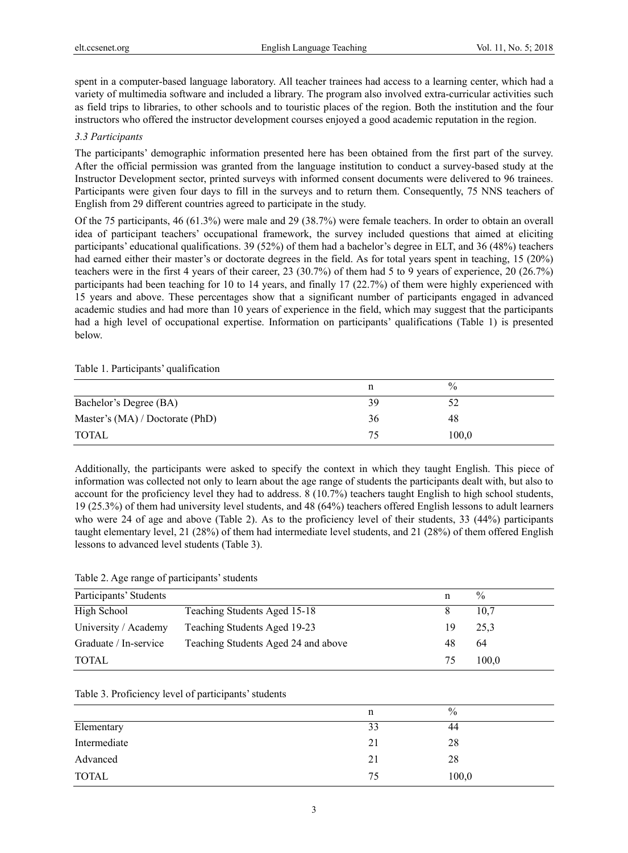spent in a computer-based language laboratory. All teacher trainees had access to a learning center, which had a variety of multimedia software and included a library. The program also involved extra-curricular activities such as field trips to libraries, to other schools and to touristic places of the region. Both the institution and the four instructors who offered the instructor development courses enjoyed a good academic reputation in the region.

# *3.3 Participants*

The participants' demographic information presented here has been obtained from the first part of the survey. After the official permission was granted from the language institution to conduct a survey-based study at the Instructor Development sector, printed surveys with informed consent documents were delivered to 96 trainees. Participants were given four days to fill in the surveys and to return them. Consequently, 75 NNS teachers of English from 29 different countries agreed to participate in the study.

Of the 75 participants, 46 (61.3%) were male and 29 (38.7%) were female teachers. In order to obtain an overall idea of participant teachers' occupational framework, the survey included questions that aimed at eliciting participants' educational qualifications. 39 (52%) of them had a bachelor's degree in ELT, and 36 (48%) teachers had earned either their master's or doctorate degrees in the field. As for total years spent in teaching, 15 (20%) teachers were in the first 4 years of their career, 23 (30.7%) of them had 5 to 9 years of experience, 20 (26.7%) participants had been teaching for 10 to 14 years, and finally 17 (22.7%) of them were highly experienced with 15 years and above. These percentages show that a significant number of participants engaged in advanced academic studies and had more than 10 years of experience in the field, which may suggest that the participants had a high level of occupational expertise. Information on participants' qualifications (Table 1) is presented below.

# Table 1. Participants' qualification

|                                 |    | $\frac{0}{0}$ |
|---------------------------------|----|---------------|
| Bachelor's Degree (BA)          | 39 |               |
| Master's (MA) / Doctorate (PhD) | 36 | 48            |
| <b>TOTAL</b>                    | 75 | 100,0         |

Additionally, the participants were asked to specify the context in which they taught English. This piece of information was collected not only to learn about the age range of students the participants dealt with, but also to account for the proficiency level they had to address. 8 (10.7%) teachers taught English to high school students, 19 (25.3%) of them had university level students, and 48 (64%) teachers offered English lessons to adult learners who were 24 of age and above (Table 2). As to the proficiency level of their students, 33 (44%) participants taught elementary level, 21 (28%) of them had intermediate level students, and 21 (28%) of them offered English lessons to advanced level students (Table 3).

Table 2. Age range of participants' students

| Participants' Students |                                     |    | $\frac{0}{0}$ |
|------------------------|-------------------------------------|----|---------------|
| High School            | Teaching Students Aged 15-18        |    | 10.7          |
| University / Academy   | Teaching Students Aged 19-23        | 19 | 25.3          |
| Graduate / In-service  | Teaching Students Aged 24 and above | 48 | 64            |
| <b>TOTAL</b>           |                                     | 75 | 100,0         |

|              | n  | $\%$  |
|--------------|----|-------|
| Elementary   | 33 | 44    |
| Intermediate | 21 | 28    |
| Advanced     | 21 | 28    |
| <b>TOTAL</b> | 75 | 100,0 |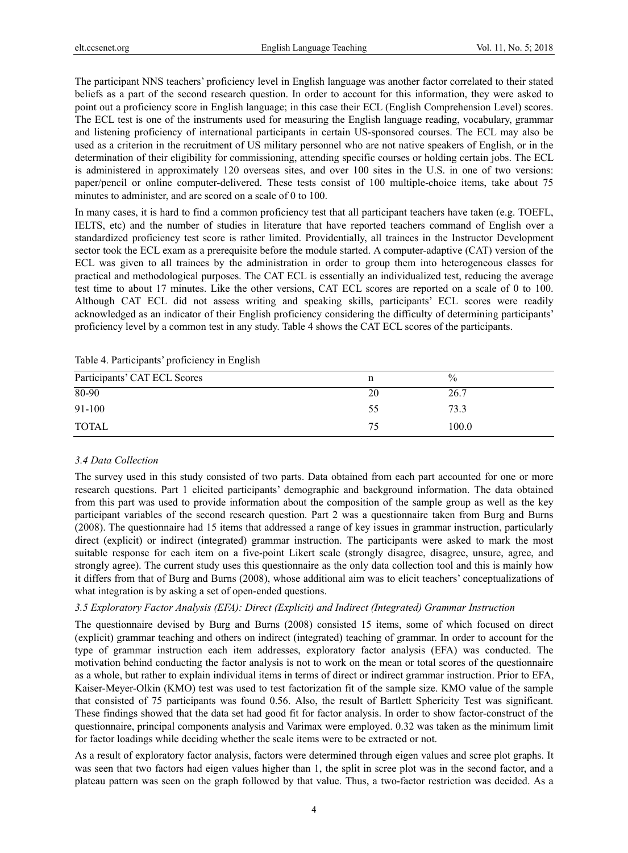The participant NNS teachers' proficiency level in English language was another factor correlated to their stated beliefs as a part of the second research question. In order to account for this information, they were asked to point out a proficiency score in English language; in this case their ECL (English Comprehension Level) scores. The ECL test is one of the instruments used for measuring the English language reading, vocabulary, grammar and listening proficiency of international participants in certain US-sponsored courses. The ECL may also be used as a criterion in the recruitment of US military personnel who are not native speakers of English, or in the determination of their eligibility for commissioning, attending specific courses or holding certain jobs. The ECL is administered in approximately 120 overseas sites, and over 100 sites in the U.S. in one of two versions: paper/pencil or online computer-delivered. These tests consist of 100 multiple-choice items, take about 75 minutes to administer, and are scored on a scale of 0 to 100.

In many cases, it is hard to find a common proficiency test that all participant teachers have taken (e.g. TOEFL, IELTS, etc) and the number of studies in literature that have reported teachers command of English over a standardized proficiency test score is rather limited. Providentially, all trainees in the Instructor Development sector took the ECL exam as a prerequisite before the module started. A computer-adaptive (CAT) version of the ECL was given to all trainees by the administration in order to group them into heterogeneous classes for practical and methodological purposes. The CAT ECL is essentially an individualized test, reducing the average test time to about 17 minutes. Like the other versions, CAT ECL scores are reported on a scale of 0 to 100. Although CAT ECL did not assess writing and speaking skills, participants' ECL scores were readily acknowledged as an indicator of their English proficiency considering the difficulty of determining participants' proficiency level by a common test in any study. Table 4 shows the CAT ECL scores of the participants.

| Participants' CAT ECL Scores | n  | $\frac{0}{0}$ |
|------------------------------|----|---------------|
| $80-90$                      | 20 | 26.7          |
| 91-100                       | 55 | 73.3          |
| <b>TOTAL</b>                 | 75 | 100.0         |

Table 4. Participants' proficiency in English

# *3.4 Data Collection*

The survey used in this study consisted of two parts. Data obtained from each part accounted for one or more research questions. Part 1 elicited participants' demographic and background information. The data obtained from this part was used to provide information about the composition of the sample group as well as the key participant variables of the second research question. Part 2 was a questionnaire taken from Burg and Burns (2008). The questionnaire had 15 items that addressed a range of key issues in grammar instruction, particularly direct (explicit) or indirect (integrated) grammar instruction. The participants were asked to mark the most suitable response for each item on a five-point Likert scale (strongly disagree, disagree, unsure, agree, and strongly agree). The current study uses this questionnaire as the only data collection tool and this is mainly how it differs from that of Burg and Burns (2008), whose additional aim was to elicit teachers' conceptualizations of what integration is by asking a set of open-ended questions.

# *3.5 Exploratory Factor Analysis (EFA): Direct (Explicit) and Indirect (Integrated) Grammar Instruction*

The questionnaire devised by Burg and Burns (2008) consisted 15 items, some of which focused on direct (explicit) grammar teaching and others on indirect (integrated) teaching of grammar. In order to account for the type of grammar instruction each item addresses, exploratory factor analysis (EFA) was conducted. The motivation behind conducting the factor analysis is not to work on the mean or total scores of the questionnaire as a whole, but rather to explain individual items in terms of direct or indirect grammar instruction. Prior to EFA, Kaiser-Meyer-Olkin (KMO) test was used to test factorization fit of the sample size. KMO value of the sample that consisted of 75 participants was found 0.56. Also, the result of Bartlett Sphericity Test was significant. These findings showed that the data set had good fit for factor analysis. In order to show factor-construct of the questionnaire, principal components analysis and Varimax were employed. 0.32 was taken as the minimum limit for factor loadings while deciding whether the scale items were to be extracted or not.

As a result of exploratory factor analysis, factors were determined through eigen values and scree plot graphs. It was seen that two factors had eigen values higher than 1, the split in scree plot was in the second factor, and a plateau pattern was seen on the graph followed by that value. Thus, a two-factor restriction was decided. As a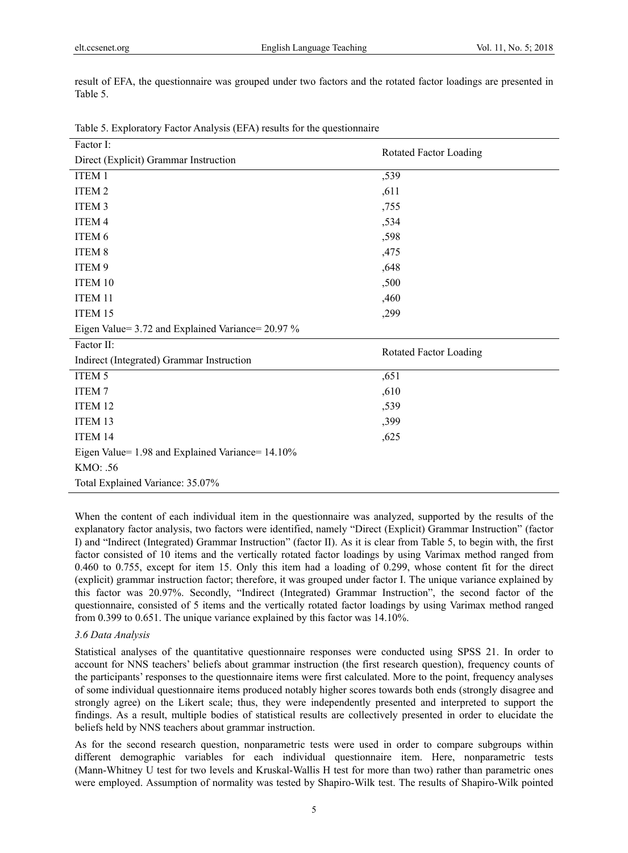result of EFA, the questionnaire was grouped under two factors and the rotated factor loadings are presented in Table 5.

| Factor I:                                         | Rotated Factor Loading |
|---------------------------------------------------|------------------------|
| Direct (Explicit) Grammar Instruction             |                        |
| ITEM 1                                            | ,539                   |
| ITEM <sub>2</sub>                                 | ,611                   |
| ITEM <sub>3</sub>                                 | ,755                   |
| ITEM 4                                            | ,534                   |
| ITEM 6                                            | ,598                   |
| ITEM 8                                            | ,475                   |
| ITEM 9                                            | ,648                   |
| ITEM 10                                           | ,500                   |
| ITEM 11                                           | ,460                   |
| ITEM 15                                           | ,299                   |
| Eigen Value= 3.72 and Explained Variance= 20.97 % |                        |
| Factor II:                                        | Rotated Factor Loading |
| Indirect (Integrated) Grammar Instruction         |                        |
| ITEM 5                                            | ,651                   |
| <b>ITEM7</b>                                      | ,610                   |
| ITEM <sub>12</sub>                                | ,539                   |
| ITEM 13                                           | ,399                   |
| ITEM 14                                           | ,625                   |
| Eigen Value= 1.98 and Explained Variance= 14.10%  |                        |
| KMO: .56                                          |                        |
| Total Explained Variance: 35.07%                  |                        |

Table 5. Exploratory Factor Analysis (EFA) results for the questionnaire

When the content of each individual item in the questionnaire was analyzed, supported by the results of the explanatory factor analysis, two factors were identified, namely "Direct (Explicit) Grammar Instruction" (factor I) and "Indirect (Integrated) Grammar Instruction" (factor II). As it is clear from Table 5, to begin with, the first factor consisted of 10 items and the vertically rotated factor loadings by using Varimax method ranged from 0.460 to 0.755, except for item 15. Only this item had a loading of 0.299, whose content fit for the direct (explicit) grammar instruction factor; therefore, it was grouped under factor I. The unique variance explained by this factor was 20.97%. Secondly, "Indirect (Integrated) Grammar Instruction", the second factor of the questionnaire, consisted of 5 items and the vertically rotated factor loadings by using Varimax method ranged from 0.399 to 0.651. The unique variance explained by this factor was 14.10%.

# *3.6 Data Analysis*

Statistical analyses of the quantitative questionnaire responses were conducted using SPSS 21. In order to account for NNS teachers' beliefs about grammar instruction (the first research question), frequency counts of the participants' responses to the questionnaire items were first calculated. More to the point, frequency analyses of some individual questionnaire items produced notably higher scores towards both ends (strongly disagree and strongly agree) on the Likert scale; thus, they were independently presented and interpreted to support the findings. As a result, multiple bodies of statistical results are collectively presented in order to elucidate the beliefs held by NNS teachers about grammar instruction.

As for the second research question, nonparametric tests were used in order to compare subgroups within different demographic variables for each individual questionnaire item. Here, nonparametric tests (Mann-Whitney U test for two levels and Kruskal-Wallis H test for more than two) rather than parametric ones were employed. Assumption of normality was tested by Shapiro-Wilk test. The results of Shapiro-Wilk pointed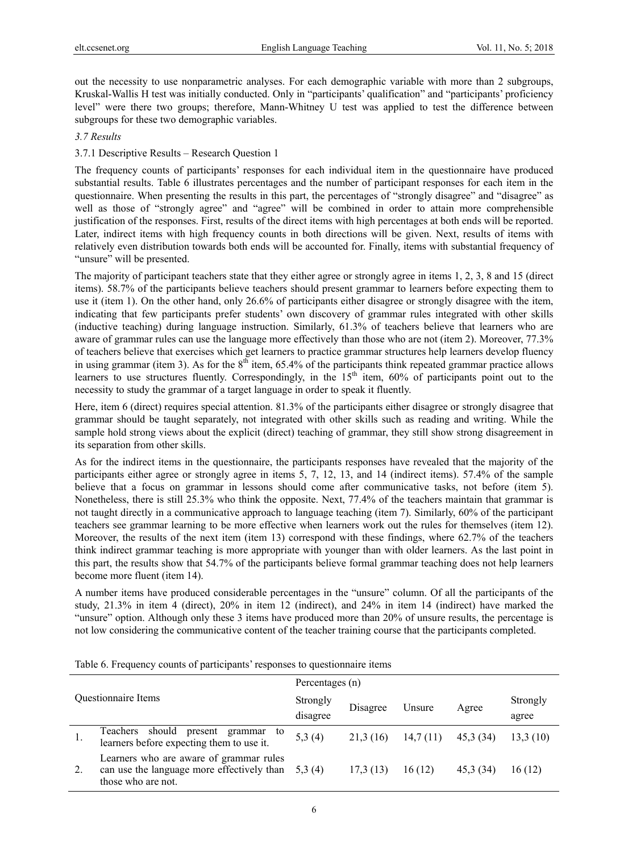out the necessity to use nonparametric analyses. For each demographic variable with more than 2 subgroups, Kruskal-Wallis H test was initially conducted. Only in "participants' qualification" and "participants' proficiency level" were there two groups; therefore, Mann-Whitney U test was applied to test the difference between subgroups for these two demographic variables.

#### *3.7 Results*

#### 3.7.1 Descriptive Results – Research Question 1

The frequency counts of participants' responses for each individual item in the questionnaire have produced substantial results. Table 6 illustrates percentages and the number of participant responses for each item in the questionnaire. When presenting the results in this part, the percentages of "strongly disagree" and "disagree" as well as those of "strongly agree" and "agree" will be combined in order to attain more comprehensible justification of the responses. First, results of the direct items with high percentages at both ends will be reported. Later, indirect items with high frequency counts in both directions will be given. Next, results of items with relatively even distribution towards both ends will be accounted for. Finally, items with substantial frequency of "unsure" will be presented.

The majority of participant teachers state that they either agree or strongly agree in items 1, 2, 3, 8 and 15 (direct items). 58.7% of the participants believe teachers should present grammar to learners before expecting them to use it (item 1). On the other hand, only 26.6% of participants either disagree or strongly disagree with the item, indicating that few participants prefer students' own discovery of grammar rules integrated with other skills (inductive teaching) during language instruction. Similarly, 61.3% of teachers believe that learners who are aware of grammar rules can use the language more effectively than those who are not (item 2). Moreover, 77.3% of teachers believe that exercises which get learners to practice grammar structures help learners develop fluency in using grammar (item 3). As for the  $8<sup>th</sup>$  item, 65.4% of the participants think repeated grammar practice allows learners to use structures fluently. Correspondingly, in the 15<sup>th</sup> item, 60% of participants point out to the necessity to study the grammar of a target language in order to speak it fluently.

Here, item 6 (direct) requires special attention. 81.3% of the participants either disagree or strongly disagree that grammar should be taught separately, not integrated with other skills such as reading and writing. While the sample hold strong views about the explicit (direct) teaching of grammar, they still show strong disagreement in its separation from other skills.

As for the indirect items in the questionnaire, the participants responses have revealed that the majority of the participants either agree or strongly agree in items 5, 7, 12, 13, and 14 (indirect items). 57.4% of the sample believe that a focus on grammar in lessons should come after communicative tasks, not before (item 5). Nonetheless, there is still 25.3% who think the opposite. Next, 77.4% of the teachers maintain that grammar is not taught directly in a communicative approach to language teaching (item 7). Similarly, 60% of the participant teachers see grammar learning to be more effective when learners work out the rules for themselves (item 12). Moreover, the results of the next item (item 13) correspond with these findings, where 62.7% of the teachers think indirect grammar teaching is more appropriate with younger than with older learners. As the last point in this part, the results show that 54.7% of the participants believe formal grammar teaching does not help learners become more fluent (item 14).

A number items have produced considerable percentages in the "unsure" column. Of all the participants of the study, 21.3% in item 4 (direct), 20% in item 12 (indirect), and 24% in item 14 (indirect) have marked the "unsure" option. Although only these 3 items have produced more than 20% of unsure results, the percentage is not low considering the communicative content of the teacher training course that the participants completed.

|    |                                                                                                             | Percentages (n)      |          |          |           |                   |  |
|----|-------------------------------------------------------------------------------------------------------------|----------------------|----------|----------|-----------|-------------------|--|
|    | Questionnaire Items                                                                                         | Strongly<br>disagree | Disagree | Unsure   | Agree     | Strongly<br>agree |  |
| 1. | should<br>Teachers<br>present<br>grammar<br>to<br>learners before expecting them to use it.                 | 5,3(4)               | 21.3(16) | 14.7(11) | 45.3 (34) | 13.3(10)          |  |
| 2. | Learners who are aware of grammar rules<br>can use the language more effectively than<br>those who are not. | 5.3(4)               | 17.3(13) | 16(12)   | 45.3 (34) | 16(12)            |  |

Table 6. Frequency counts of participants' responses to questionnaire items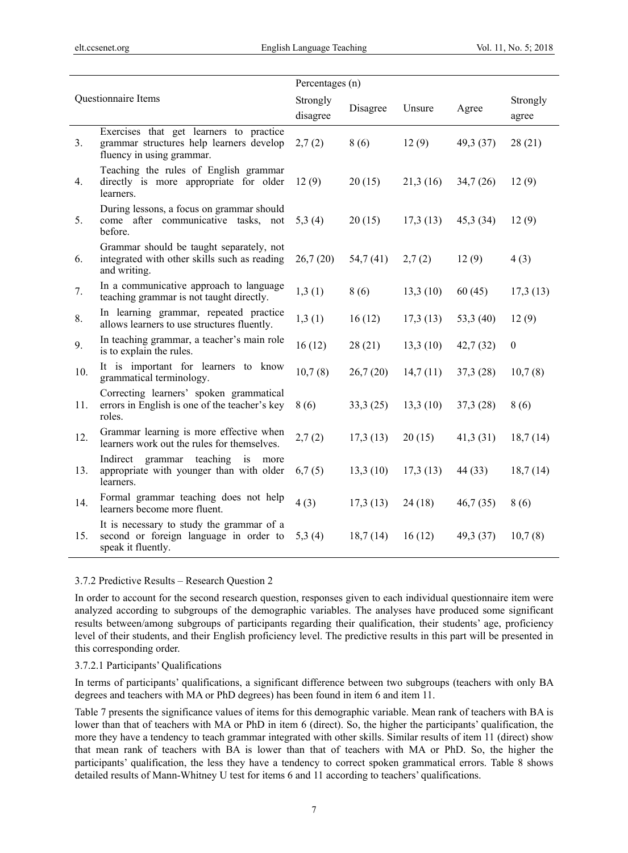|     |                                                                                                                  | Percentages (n)      |           |          |           |                   |
|-----|------------------------------------------------------------------------------------------------------------------|----------------------|-----------|----------|-----------|-------------------|
|     | Questionnaire Items                                                                                              | Strongly<br>disagree | Disagree  | Unsure   | Agree     | Strongly<br>agree |
| 3.  | Exercises that get learners to practice<br>grammar structures help learners develop<br>fluency in using grammar. | 2,7(2)               | 8(6)      | 12(9)    | 49,3 (37) | 28(21)            |
| 4.  | Teaching the rules of English grammar<br>directly is more appropriate for older<br><i>learners</i>               | 12(9)                | 20(15)    | 21,3(16) | 34,7(26)  | 12(9)             |
| 5.  | During lessons, a focus on grammar should<br>come after communicative tasks, not<br>before.                      | 5,3(4)               | 20(15)    | 17,3(13) | 45,3 (34) | 12(9)             |
| 6.  | Grammar should be taught separately, not<br>integrated with other skills such as reading<br>and writing.         | 26,7(20)             | 54,7 (41) | 2,7(2)   | 12(9)     | 4(3)              |
| 7.  | In a communicative approach to language<br>teaching grammar is not taught directly.                              | 1,3(1)               | 8(6)      | 13,3(10) | 60(45)    | 17,3(13)          |
| 8.  | In learning grammar, repeated practice<br>allows learners to use structures fluently.                            | 1,3(1)               | 16(12)    | 17,3(13) | 53,3 (40) | 12(9)             |
| 9.  | In teaching grammar, a teacher's main role<br>is to explain the rules.                                           | 16(12)               | 28(21)    | 13,3(10) | 42,7(32)  | $\boldsymbol{0}$  |
| 10. | It is important for learners to know<br>grammatical terminology.                                                 | 10,7(8)              | 26,7(20)  | 14,7(11) | 37,3 (28) | 10,7(8)           |
| 11. | Correcting learners' spoken grammatical<br>errors in English is one of the teacher's key<br>roles                | 8(6)                 | 33,3(25)  | 13,3(10) | 37,3(28)  | 8(6)              |
| 12. | Grammar learning is more effective when<br>learners work out the rules for themselves.                           | 2,7(2)               | 17,3(13)  | 20(15)   | 41,3(31)  | 18,7(14)          |
| 13. | Indirect grammar teaching is more<br>appropriate with younger than with older<br>learners.                       | 6,7(5)               | 13,3(10)  | 17,3(13) | 44 (33)   | 18,7(14)          |
| 14. | Formal grammar teaching does not help<br>learners become more fluent.                                            | 4(3)                 | 17,3(13)  | 24(18)   | 46,7(35)  | 8(6)              |
| 15. | It is necessary to study the grammar of a<br>second or foreign language in order to<br>speak it fluently.        | 5,3(4)               | 18,7(14)  | 16(12)   | 49,3 (37) | 10,7(8)           |

#### 3.7.2 Predictive Results – Research Question 2

In order to account for the second research question, responses given to each individual questionnaire item were analyzed according to subgroups of the demographic variables. The analyses have produced some significant results between/among subgroups of participants regarding their qualification, their students' age, proficiency level of their students, and their English proficiency level. The predictive results in this part will be presented in this corresponding order.

## 3.7.2.1 Participants' Qualifications

In terms of participants' qualifications, a significant difference between two subgroups (teachers with only BA degrees and teachers with MA or PhD degrees) has been found in item 6 and item 11.

Table 7 presents the significance values of items for this demographic variable. Mean rank of teachers with BA is lower than that of teachers with MA or PhD in item 6 (direct). So, the higher the participants' qualification, the more they have a tendency to teach grammar integrated with other skills. Similar results of item 11 (direct) show that mean rank of teachers with BA is lower than that of teachers with MA or PhD. So, the higher the participants' qualification, the less they have a tendency to correct spoken grammatical errors. Table 8 shows detailed results of Mann-Whitney U test for items 6 and 11 according to teachers' qualifications.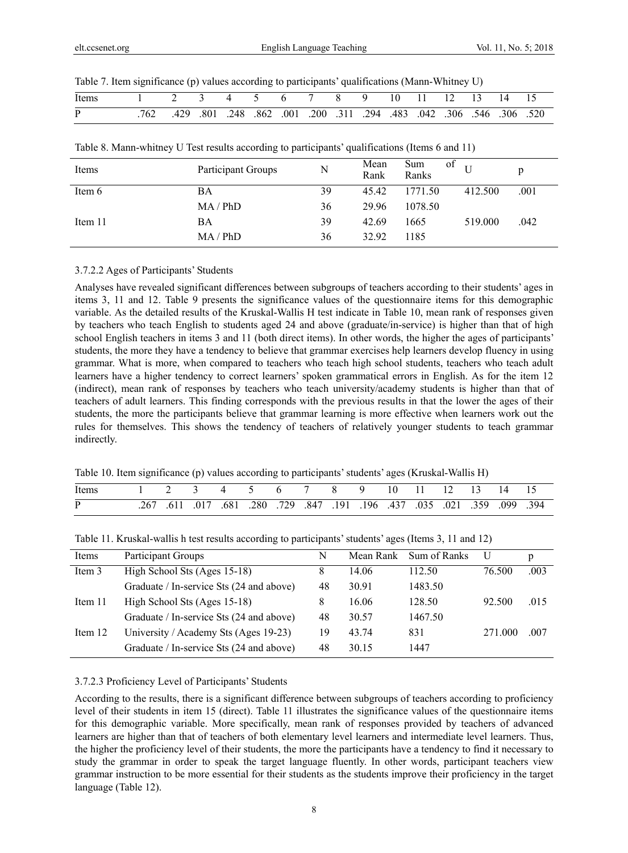Table 7. Item significance (p) values according to participants' qualifications (Mann-Whitney U)

| Items | 1 2 3 4 5 6 7 8 9 10 11 12 13 14 15                                        |  |  |  |  |  |  |  |
|-------|----------------------------------------------------------------------------|--|--|--|--|--|--|--|
|       | .520 .466 .546 .546 .483 .042 .483 .942 .101 .294 .483 .042 .429 .429 .501 |  |  |  |  |  |  |  |

Table 8. Mann-whitney U Test results according to participants' qualifications (Items 6 and 11)

| Items   | Participant Groups | N  | Mean<br>Rank | Sum<br>οf<br>Ranks |         | Ď    |
|---------|--------------------|----|--------------|--------------------|---------|------|
| Item 6  | ВA                 | 39 | 45.42        | 1771.50            | 412.500 | .001 |
|         | MA / PhD           | 36 | 29.96        | 1078.50            |         |      |
| Item 11 | ВA                 | 39 | 42.69        | 1665               | 519.000 | .042 |
|         | MA / PhD           | 36 | 32.92        | 1185               |         |      |

# 3.7.2.2 Ages of Participants' Students

Analyses have revealed significant differences between subgroups of teachers according to their students' ages in items 3, 11 and 12. Table 9 presents the significance values of the questionnaire items for this demographic variable. As the detailed results of the Kruskal-Wallis H test indicate in Table 10, mean rank of responses given by teachers who teach English to students aged 24 and above (graduate/in-service) is higher than that of high school English teachers in items 3 and 11 (both direct items). In other words, the higher the ages of participants' students, the more they have a tendency to believe that grammar exercises help learners develop fluency in using grammar. What is more, when compared to teachers who teach high school students, teachers who teach adult learners have a higher tendency to correct learners' spoken grammatical errors in English. As for the item 12 (indirect), mean rank of responses by teachers who teach university/academy students is higher than that of teachers of adult learners. This finding corresponds with the previous results in that the lower the ages of their students, the more the participants believe that grammar learning is more effective when learners work out the rules for themselves. This shows the tendency of teachers of relatively younger students to teach grammar indirectly.

Table 10. Item significance (p) values according to participants' students' ages (Kruskal-Wallis H)

| Items 1 2 3 4 5 6 7 8 9 10 11 12 13 14 15 |  |  |  |  |  |  |                                                                          |  |
|-------------------------------------------|--|--|--|--|--|--|--------------------------------------------------------------------------|--|
|                                           |  |  |  |  |  |  | .39 .09 .39 .39 .39 .39 .39 .437 .191 .196 .437 .035 .021 .359 .099 .394 |  |

| Items   | Participant Groups                       | N  | Mean Rank | Sum of Ranks | U       | p    |
|---------|------------------------------------------|----|-----------|--------------|---------|------|
| Item 3  | High School Sts (Ages 15-18)             | 8  | 14.06     | 112.50       | 76.500  | .003 |
|         | Graduate / In-service Sts (24 and above) | 48 | 30.91     | 1483.50      |         |      |
| Item 11 | High School Sts (Ages 15-18)             | 8  | 16.06     | 128.50       | 92.500  | .015 |
|         | Graduate / In-service Sts (24 and above) | 48 | 30.57     | 1467.50      |         |      |
| Item 12 | University / Academy Sts (Ages 19-23)    | 19 | 43.74     | 831          | 271.000 | .007 |
|         | Graduate / In-service Sts (24 and above) | 48 | 30.15     | 1447         |         |      |

Table 11. Kruskal-wallis h test results according to participants' students' ages (Items 3, 11 and 12)

# 3.7.2.3 Proficiency Level of Participants' Students

According to the results, there is a significant difference between subgroups of teachers according to proficiency level of their students in item 15 (direct). Table 11 illustrates the significance values of the questionnaire items for this demographic variable. More specifically, mean rank of responses provided by teachers of advanced learners are higher than that of teachers of both elementary level learners and intermediate level learners. Thus, the higher the proficiency level of their students, the more the participants have a tendency to find it necessary to study the grammar in order to speak the target language fluently. In other words, participant teachers view grammar instruction to be more essential for their students as the students improve their proficiency in the target language (Table 12).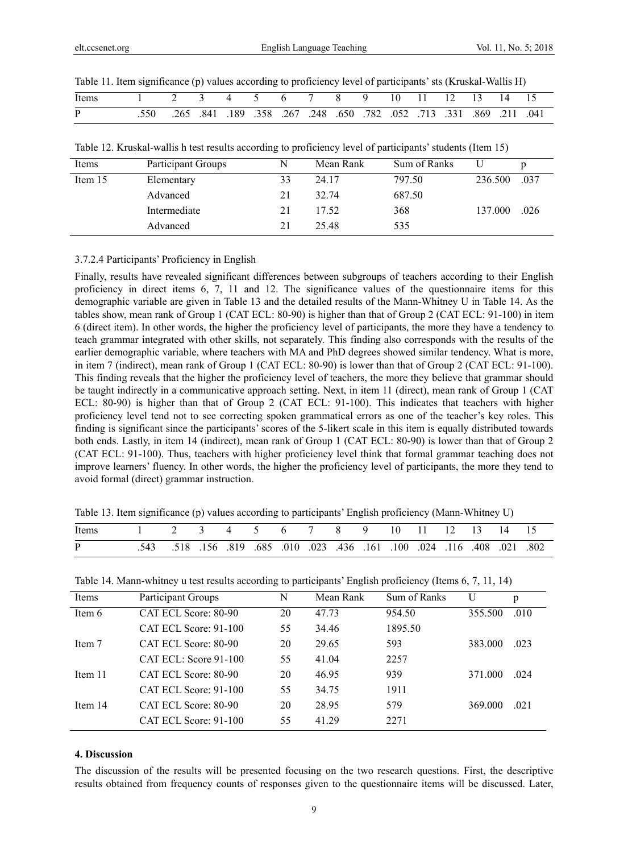Table 11. Item significance (p) values according to proficiency level of participants' sts (Kruskal-Wallis H)

| Items |                                                                            | 2 3 4 5 6 7 8 9 10 11 12 13 |  |  |  |  |  |  |  |
|-------|----------------------------------------------------------------------------|-----------------------------|--|--|--|--|--|--|--|
|       | .041 .041 .869 .211 .869 .713 .331 .869 .267 .248 .650 .267 .248 .550 .550 |                             |  |  |  |  |  |  |  |

Table 12. Kruskal-wallis h test results according to proficiency level of participants' students (Item 15)

| Items   | <b>Participant Groups</b> |    | Mean Rank | Sum of Ranks |         |      |
|---------|---------------------------|----|-----------|--------------|---------|------|
| Item 15 | Elementary                | 33 | 24.17     | 797.50       | 236.500 | .037 |
|         | Advanced                  | 21 | 32.74     | 687.50       |         |      |
|         | Intermediate              | 21 | 17.52     | 368          | 137.000 | .026 |
|         | Advanced                  |    | 25.48     | 535          |         |      |

#### 3.7.2.4 Participants' Proficiency in English

Finally, results have revealed significant differences between subgroups of teachers according to their English proficiency in direct items 6, 7, 11 and 12. The significance values of the questionnaire items for this demographic variable are given in Table 13 and the detailed results of the Mann-Whitney U in Table 14. As the tables show, mean rank of Group 1 (CAT ECL: 80-90) is higher than that of Group 2 (CAT ECL: 91-100) in item 6 (direct item). In other words, the higher the proficiency level of participants, the more they have a tendency to teach grammar integrated with other skills, not separately. This finding also corresponds with the results of the earlier demographic variable, where teachers with MA and PhD degrees showed similar tendency. What is more, in item 7 (indirect), mean rank of Group 1 (CAT ECL: 80-90) is lower than that of Group 2 (CAT ECL: 91-100). This finding reveals that the higher the proficiency level of teachers, the more they believe that grammar should be taught indirectly in a communicative approach setting. Next, in item 11 (direct), mean rank of Group 1 (CAT ECL: 80-90) is higher than that of Group 2 (CAT ECL: 91-100). This indicates that teachers with higher proficiency level tend not to see correcting spoken grammatical errors as one of the teacher's key roles. This finding is significant since the participants' scores of the 5-likert scale in this item is equally distributed towards both ends. Lastly, in item 14 (indirect), mean rank of Group 1 (CAT ECL: 80-90) is lower than that of Group 2 (CAT ECL: 91-100). Thus, teachers with higher proficiency level think that formal grammar teaching does not improve learners' fluency. In other words, the higher the proficiency level of participants, the more they tend to avoid formal (direct) grammar instruction.

| . In the state of the state of the state of the state of the state of the state of the state of the state of t |                                                                            |  |  |  |  |  |  |  |
|----------------------------------------------------------------------------------------------------------------|----------------------------------------------------------------------------|--|--|--|--|--|--|--|
| <b>Items</b>                                                                                                   | 1 2 3 4 5 6 7 8 9 10 11 12 13 14 15                                        |  |  |  |  |  |  |  |
|                                                                                                                | .543 .518 .156 .819 .685 .010 .023 .436 .161 .100 .024 .116 .408 .021 .518 |  |  |  |  |  |  |  |

Table 13. Item significance (p) values according to participants' English proficiency (Mann-Whitney U)

| Table 14. Mann-whitney u test results according to participants' English proficiency (Items 6, 7, 11, 14) |                           |    |           |              |         |      |  |  |  |
|-----------------------------------------------------------------------------------------------------------|---------------------------|----|-----------|--------------|---------|------|--|--|--|
| Items                                                                                                     | <b>Participant Groups</b> | N  | Mean Rank | Sum of Ranks | U       | p    |  |  |  |
| Item 6                                                                                                    | CAT ECL Score: 80-90      | 20 | 47.73     | 954.50       | 355.500 | .010 |  |  |  |
|                                                                                                           | CAT ECL Score: 91-100     | 55 | 34.46     | 1895.50      |         |      |  |  |  |
| Item 7                                                                                                    | CAT ECL Score: 80-90      | 20 | 29.65     | 593          | 383.000 | .023 |  |  |  |
|                                                                                                           | CAT ECL: Score $91-100$   | 55 | 41.04     | 2257         |         |      |  |  |  |
| Item 11                                                                                                   | CAT ECL Score: 80-90      | 20 | 46.95     | 939          | 371.000 | .024 |  |  |  |
|                                                                                                           | CAT ECL Score: 91-100     | 55 | 34.75     | 1911         |         |      |  |  |  |
| Item 14                                                                                                   | CAT ECL Score: 80-90      | 20 | 28.95     | 579          | 369.000 | .021 |  |  |  |
|                                                                                                           | CAT ECL Score: 91-100     | 55 | 41.29     | 2271         |         |      |  |  |  |

Table 14. Mann-whitney u test results according to participants' English proficiency (Items 6, 7, 11, 14)

# **4. Discussion**

The discussion of the results will be presented focusing on the two research questions. First, the descriptive results obtained from frequency counts of responses given to the questionnaire items will be discussed. Later,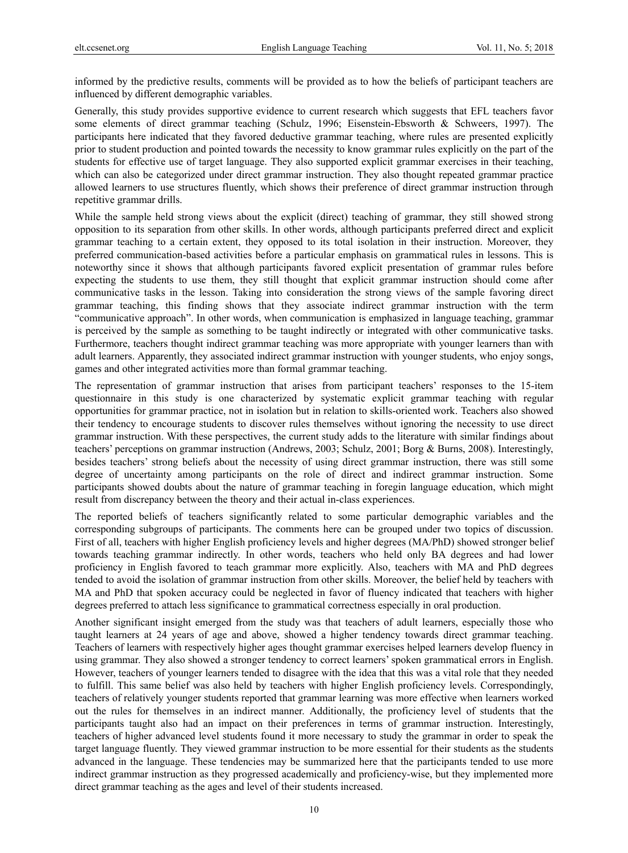informed by the predictive results, comments will be provided as to how the beliefs of participant teachers are influenced by different demographic variables.

Generally, this study provides supportive evidence to current research which suggests that EFL teachers favor some elements of direct grammar teaching (Schulz, 1996; Eisenstein-Ebsworth & Schweers, 1997). The participants here indicated that they favored deductive grammar teaching, where rules are presented explicitly prior to student production and pointed towards the necessity to know grammar rules explicitly on the part of the students for effective use of target language. They also supported explicit grammar exercises in their teaching, which can also be categorized under direct grammar instruction. They also thought repeated grammar practice allowed learners to use structures fluently, which shows their preference of direct grammar instruction through repetitive grammar drills.

While the sample held strong views about the explicit (direct) teaching of grammar, they still showed strong opposition to its separation from other skills. In other words, although participants preferred direct and explicit grammar teaching to a certain extent, they opposed to its total isolation in their instruction. Moreover, they preferred communication-based activities before a particular emphasis on grammatical rules in lessons. This is noteworthy since it shows that although participants favored explicit presentation of grammar rules before expecting the students to use them, they still thought that explicit grammar instruction should come after communicative tasks in the lesson. Taking into consideration the strong views of the sample favoring direct grammar teaching, this finding shows that they associate indirect grammar instruction with the term "communicative approach". In other words, when communication is emphasized in language teaching, grammar is perceived by the sample as something to be taught indirectly or integrated with other communicative tasks. Furthermore, teachers thought indirect grammar teaching was more appropriate with younger learners than with adult learners. Apparently, they associated indirect grammar instruction with younger students, who enjoy songs, games and other integrated activities more than formal grammar teaching.

The representation of grammar instruction that arises from participant teachers' responses to the 15-item questionnaire in this study is one characterized by systematic explicit grammar teaching with regular opportunities for grammar practice, not in isolation but in relation to skills-oriented work. Teachers also showed their tendency to encourage students to discover rules themselves without ignoring the necessity to use direct grammar instruction. With these perspectives, the current study adds to the literature with similar findings about teachers' perceptions on grammar instruction (Andrews, 2003; Schulz, 2001; Borg & Burns, 2008). Interestingly, besides teachers' strong beliefs about the necessity of using direct grammar instruction, there was still some degree of uncertainty among participants on the role of direct and indirect grammar instruction. Some participants showed doubts about the nature of grammar teaching in foregin language education, which might result from discrepancy between the theory and their actual in-class experiences.

The reported beliefs of teachers significantly related to some particular demographic variables and the corresponding subgroups of participants. The comments here can be grouped under two topics of discussion. First of all, teachers with higher English proficiency levels and higher degrees (MA/PhD) showed stronger belief towards teaching grammar indirectly. In other words, teachers who held only BA degrees and had lower proficiency in English favored to teach grammar more explicitly. Also, teachers with MA and PhD degrees tended to avoid the isolation of grammar instruction from other skills. Moreover, the belief held by teachers with MA and PhD that spoken accuracy could be neglected in favor of fluency indicated that teachers with higher degrees preferred to attach less significance to grammatical correctness especially in oral production.

Another significant insight emerged from the study was that teachers of adult learners, especially those who taught learners at 24 years of age and above, showed a higher tendency towards direct grammar teaching. Teachers of learners with respectively higher ages thought grammar exercises helped learners develop fluency in using grammar. They also showed a stronger tendency to correct learners' spoken grammatical errors in English. However, teachers of younger learners tended to disagree with the idea that this was a vital role that they needed to fulfill. This same belief was also held by teachers with higher English proficiency levels. Correspondingly, teachers of relatively younger students reported that grammar learning was more effective when learners worked out the rules for themselves in an indirect manner. Additionally, the proficiency level of students that the participants taught also had an impact on their preferences in terms of grammar instruction. Interestingly, teachers of higher advanced level students found it more necessary to study the grammar in order to speak the target language fluently. They viewed grammar instruction to be more essential for their students as the students advanced in the language. These tendencies may be summarized here that the participants tended to use more indirect grammar instruction as they progressed academically and proficiency-wise, but they implemented more direct grammar teaching as the ages and level of their students increased.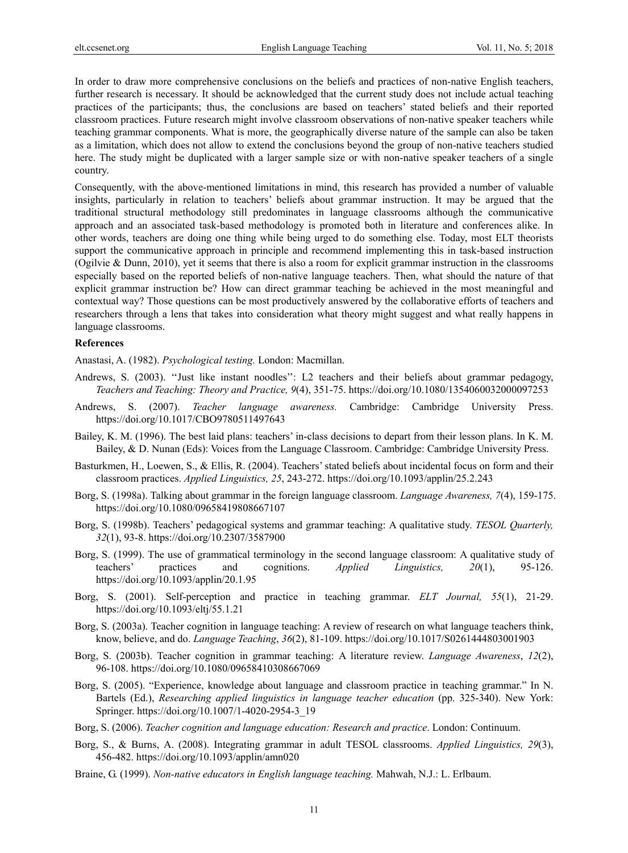In order to draw more comprehensive conclusions on the beliefs and practices of non-native English teachers, further research is necessary. It should be acknowledged that the current study does not include actual teaching practices of the participants; thus, the conclusions are based on teachers' stated beliefs and their reported classroom practices. Future research might involve classroom observations of non-native speaker teachers while teaching grammar components. What is more, the geographically diverse nature of the sample can also be taken as a limitation, which does not allow to extend the conclusions beyond the group of non-native teachers studied here. The study might be duplicated with a larger sample size or with non-native speaker teachers of a single country.

Consequently, with the above-mentioned limitations in mind, this research has provided a number of valuable insights, particularly in relation to teachers' beliefs about grammar instruction. It may be argued that the traditional structural methodology still predominates in language classrooms although the communicative approach and an associated task-based methodology is promoted both in literature and conferences alike. In other words, teachers are doing one thing while being urged to do something else. Today, most ELT theorists support the communicative approach in principle and recommend implementing this in task-based instruction (Ogilvie & Dunn, 2010), yet it seems that there is also a room for explicit grammar instruction in the classrooms especially based on the reported beliefs of non-native language teachers. Then, what should the nature of that explicit grammar instruction be? How can direct grammar teaching be achieved in the most meaningful and contextual way? Those questions can be most productively answered by the collaborative efforts of teachers and researchers through a lens that takes into consideration what theory might suggest and what really happens in language classrooms.

#### **References**

Anastasi, A. (1982). *Psychological testing.* London: Macmillan.

- Andrews, S. (2003). ''Just like instant noodles'': L2 teachers and their beliefs about grammar pedagogy, *Teachers and Teaching: Theory and Practice, 9*(4), 351-75. https://doi.org/10.1080/1354060032000097253
- Andrews, S. (2007). *Teacher language awareness.* Cambridge: Cambridge University Press. https://doi.org/10.1017/CBO9780511497643
- Bailey, K. M. (1996). The best laid plans: teachers' in-class decisions to depart from their lesson plans. In K. M. Bailey, & D. Nunan (Eds): Voices from the Language Classroom. Cambridge: Cambridge University Press.
- Basturkmen, H., Loewen, S., & Ellis, R. (2004). Teachers' stated beliefs about incidental focus on form and their classroom practices. *Applied Linguistics, 25*, 243-272. https://doi.org/10.1093/applin/25.2.243
- Borg, S. (1998a). Talking about grammar in the foreign language classroom. *Language Awareness, 7*(4), 159-175. https://doi.org/10.1080/09658419808667107
- Borg, S. (1998b). Teachers' pedagogical systems and grammar teaching: A qualitative study. *TESOL Quarterly, 32*(1), 93-8. https://doi.org/10.2307/3587900
- Borg, S. (1999). The use of grammatical terminology in the second language classroom: A qualitative study of teachers' practices and cognitions. *Applied Linguistics, 20*(1), 95-126. https://doi.org/10.1093/applin/20.1.95
- Borg, S. (2001). Self-perception and practice in teaching grammar. *ELT Journal, 55*(1), 21-29. https://doi.org/10.1093/eltj/55.1.21
- Borg, S. (2003a). Teacher cognition in language teaching: A review of research on what language teachers think, know, believe, and do. *Language Teaching*, *36*(2), 81-109. https://doi.org/10.1017/S0261444803001903
- Borg, S. (2003b). Teacher cognition in grammar teaching: A literature review. *Language Awareness*, *12*(2), 96-108. https://doi.org/10.1080/09658410308667069
- Borg, S. (2005). "Experience, knowledge about language and classroom practice in teaching grammar." In N. Bartels (Ed.), *Researching applied linguistics in language teacher education* (pp. 325-340). New York: Springer. https://doi.org/10.1007/1-4020-2954-3\_19
- Borg, S. (2006). *Teacher cognition and language education: Research and practice*. London: Continuum.
- Borg, S., & Burns, A. (2008). Integrating grammar in adult TESOL classrooms. *Applied Linguistics, 29*(3), 456-482. https://doi.org/10.1093/applin/amn020
- Braine, G. (1999). *Non-native educators in English language teaching.* Mahwah, N.J.: L. Erlbaum.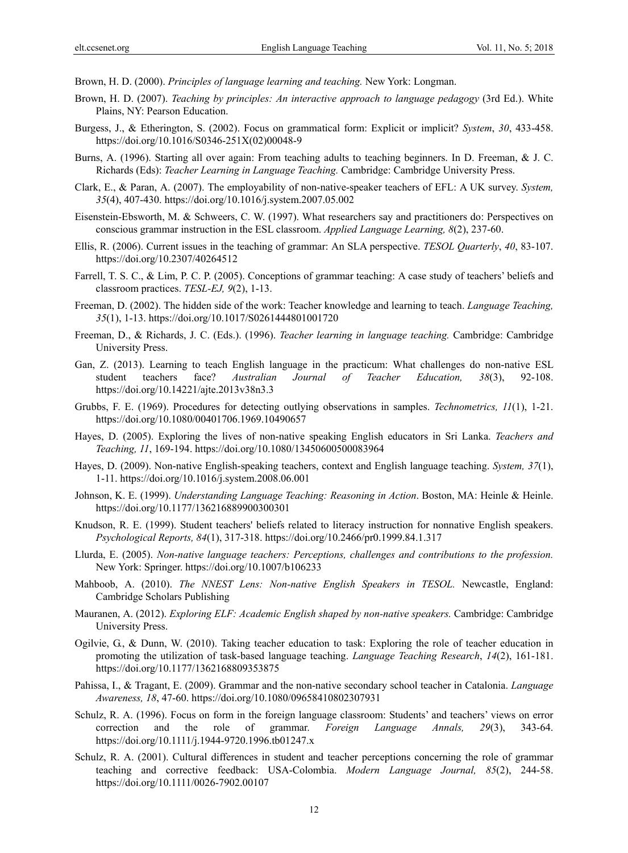Brown, H. D. (2000). *Principles of language learning and teaching.* New York: Longman.

- Brown, H. D. (2007). *Teaching by principles: An interactive approach to language pedagogy* (3rd Ed.). White Plains, NY: Pearson Education.
- Burgess, J., & Etherington, S. (2002). Focus on grammatical form: Explicit or implicit? *System*, *30*, 433-458. https://doi.org/10.1016/S0346-251X(02)00048-9
- Burns, A. (1996). Starting all over again: From teaching adults to teaching beginners. In D. Freeman, & J. C. Richards (Eds): *Teacher Learning in Language Teaching.* Cambridge: Cambridge University Press.
- Clark, E., & Paran, A. (2007). The employability of non-native-speaker teachers of EFL: A UK survey. *System, 35*(4), 407-430. https://doi.org/10.1016/j.system.2007.05.002
- Eisenstein-Ebsworth, M. & Schweers, C. W. (1997). What researchers say and practitioners do: Perspectives on conscious grammar instruction in the ESL classroom. *Applied Language Learning, 8*(2), 237-60.
- Ellis, R. (2006). Current issues in the teaching of grammar: An SLA perspective. *TESOL Quarterly*, *40*, 83-107. https://doi.org/10.2307/40264512
- Farrell, T. S. C., & Lim, P. C. P. (2005). Conceptions of grammar teaching: A case study of teachers' beliefs and classroom practices. *TESL-EJ, 9*(2), 1-13.
- Freeman, D. (2002). The hidden side of the work: Teacher knowledge and learning to teach. *Language Teaching, 35*(1), 1-13. https://doi.org/10.1017/S0261444801001720
- Freeman, D., & Richards, J. C. (Eds.). (1996). *Teacher learning in language teaching.* Cambridge: Cambridge University Press.
- Gan, Z. (2013). Learning to teach English language in the practicum: What challenges do non-native ESL student teachers face? *Australian Journal of Teacher Education, 38*(3), 92-108. https://doi.org/10.14221/ajte.2013v38n3.3
- Grubbs, F. E. (1969). Procedures for detecting outlying observations in samples. *Technometrics, 11*(1), 1-21. https://doi.org/10.1080/00401706.1969.10490657
- Hayes, D. (2005). Exploring the lives of non-native speaking English educators in Sri Lanka. *Teachers and Teaching, 11*, 169-194. https://doi.org/10.1080/13450600500083964
- Hayes, D. (2009). Non-native English-speaking teachers, context and English language teaching. *System, 37*(1), 1-11. https://doi.org/10.1016/j.system.2008.06.001
- Johnson, K. E. (1999). *Understanding Language Teaching: Reasoning in Action*. Boston, MA: Heinle & Heinle. https://doi.org/10.1177/136216889900300301
- Knudson, R. E. (1999). Student teachers' beliefs related to literacy instruction for nonnative English speakers. *Psychological Reports, 84*(1), 317-318. https://doi.org/10.2466/pr0.1999.84.1.317
- Llurda, E. (2005). *Non-native language teachers: Perceptions, challenges and contributions to the profession.* New York: Springer. https://doi.org/10.1007/b106233
- Mahboob, A. (2010). *The NNEST Lens: Non-native English Speakers in TESOL.* Newcastle, England: Cambridge Scholars Publishing
- Mauranen, A. (2012). *Exploring ELF: Academic English shaped by non-native speakers.* Cambridge: Cambridge University Press.
- Ogilvie, G., & Dunn, W. (2010). Taking teacher education to task: Exploring the role of teacher education in promoting the utilization of task-based language teaching. *Language Teaching Research*, *14*(2), 161-181. https://doi.org/10.1177/1362168809353875
- Pahissa, I., & Tragant, E. (2009). Grammar and the non-native secondary school teacher in Catalonia. *Language Awareness, 18*, 47-60. https://doi.org/10.1080/09658410802307931
- Schulz, R. A. (1996). Focus on form in the foreign language classroom: Students' and teachers' views on error correction and the role of grammar. *Foreign Language Annals, 29*(3), 343-64. https://doi.org/10.1111/j.1944-9720.1996.tb01247.x
- Schulz, R. A. (2001). Cultural differences in student and teacher perceptions concerning the role of grammar teaching and corrective feedback: USA-Colombia. *Modern Language Journal, 85*(2), 244-58. https://doi.org/10.1111/0026-7902.00107